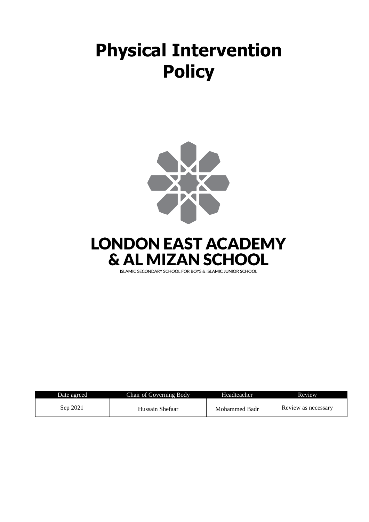# **Physical Intervention Policy**





ISLAMIC SECONDARY SCHOOL FOR BOYS & ISLAMIC JUNIOR SCHOOL

| Date agreed | Chair of Governing Body | Headteacher   | Review              |
|-------------|-------------------------|---------------|---------------------|
| Sep 2021    | Hussain Shefaar         | Mohammed Badr | Review as necessary |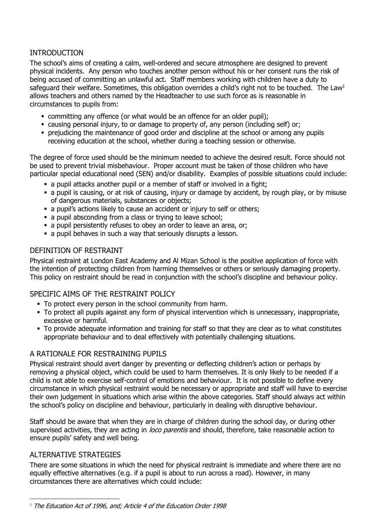# INTRODUCTION

The school's aims of creating a calm, well-ordered and secure atmosphere are designed to prevent physical incidents. Any person who touches another person without his or her consent runs the risk of being accused of committing an unlawful act. Staff members working with children have a duty to safeguard their welfare. Sometimes, this obligation overrides a child's right not to be touched. The Law<sup>1</sup> allows teachers and others named by the Headteacher to use such force as is reasonable in circumstances to pupils from:

- committing any offence (or what would be an offence for an older pupil);
- causing personal injury, to or damage to property of, any person (including self) or;
- **•** prejudicing the maintenance of good order and discipline at the school or among any pupils receiving education at the school, whether during a teaching session or otherwise.

The degree of force used should be the minimum needed to achieve the desired result. Force should not be used to prevent trivial misbehaviour. Proper account must be taken of those children who have particular special educational need (SEN) and/or disability. Examples of possible situations could include:

- a pupil attacks another pupil or a member of staff or involved in a fight;
- a pupil is causing, or at risk of causing, injury or damage by accident, by rough play, or by misuse of dangerous materials, substances or objects;
- **E** a pupil's actions likely to cause an accident or injury to self or others;
- a pupil absconding from a class or trying to leave school:
- a pupil persistently refuses to obey an order to leave an area, or;
- **•** a pupil behaves in such a way that seriously disrupts a lesson.

#### DEFINITION OF RESTRAINT

Physical restraint at London East Academy and Al Mizan School is the positive application of force with the intention of protecting children from harming themselves or others or seriously damaging property. This policy on restraint should be read in conjunction with the school's discipline and behaviour policy.

# SPECIFIC AIMS OF THE RESTRAINT POLICY

- To protect every person in the school community from harm.
- To protect all pupils against any form of physical intervention which is unnecessary, inappropriate, excessive or harmful.
- To provide adequate information and training for staff so that they are clear as to what constitutes appropriate behaviour and to deal effectively with potentially challenging situations.

# A RATIONALE FOR RESTRAINING PUPILS

Physical restraint should avert danger by preventing or deflecting children's action or perhaps by removing a physical object, which could be used to harm themselves. It is only likely to be needed if a child is not able to exercise self-control of emotions and behaviour. It is not possible to define every circumstance in which physical restraint would be necessary or appropriate and staff will have to exercise their own judgement in situations which arise within the above categories. Staff should always act within the school's policy on discipline and behaviour, particularly in dealing with disruptive behaviour.

Staff should be aware that when they are in charge of children during the school day, or during other supervised activities, they are acting in *loco parentis* and should, therefore, take reasonable action to ensure pupils' safety and well being.

#### ALTERNATIVE STRATEGIES

There are some situations in which the need for physical restraint is immediate and where there are no equally effective alternatives (e.g. if a pupil is about to run across a road). However, in many circumstances there are alternatives which could include:

<sup>&</sup>lt;sup>1</sup> The Education Act of 1996, and; Article 4 of the Education Order 1998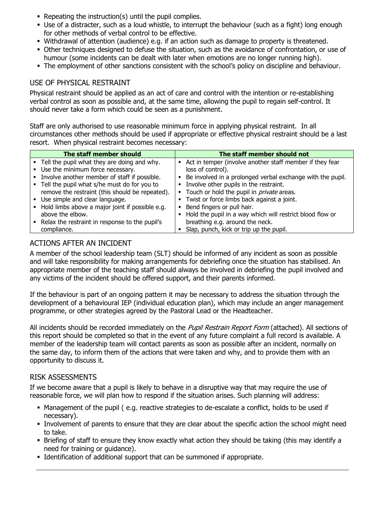- Repeating the instruction(s) until the pupil complies.
- **Use of a distracter, such as a loud whistle, to interrupt the behaviour (such as a fight) long enough** for other methods of verbal control to be effective.
- Withdrawal of attention (audience) e.g. if an action such as damage to property is threatened.
- Other techniques designed to defuse the situation, such as the avoidance of confrontation, or use of humour (some incidents can be dealt with later when emotions are no longer running high).
- The employment of other sanctions consistent with the school's policy on discipline and behaviour.

#### USE OF PHYSICAL RESTRAINT

Physical restraint should be applied as an act of care and control with the intention or re-establishing verbal control as soon as possible and, at the same time, allowing the pupil to regain self-control. It should never take a form which could be seen as a punishment.

Staff are only authorised to use reasonable minimum force in applying physical restraint. In all circumstances other methods should be used if appropriate or effective physical restraint should be a last resort. When physical restraint becomes necessary:

| The staff member should                           | The staff member should not                                   |  |  |
|---------------------------------------------------|---------------------------------------------------------------|--|--|
| • Tell the pupil what they are doing and why.     | Act in temper (involve another staff member if they fear<br>٠ |  |  |
| • Use the minimum force necessary.                | loss of control).                                             |  |  |
| • Involve another member of staff if possible.    | Be involved in a prolonged verbal exchange with the pupil.    |  |  |
| • Tell the pupil what s/he must do for you to     | Involve other pupils in the restraint.                        |  |  |
| remove the restraint (this should be repeated).   | • Touch or hold the pupil in <i>private</i> areas.            |  |  |
| • Use simple and clear language.                  | • Twist or force limbs back against a joint.                  |  |  |
| • Hold limbs above a major joint if possible e.g. | Bend fingers or pull hair.                                    |  |  |
| above the elbow.                                  | Hold the pupil in a way which will restrict blood flow or     |  |  |
| • Relax the restraint in response to the pupil's  | breathing e.g. around the neck.                               |  |  |
| compliance.                                       | Slap, punch, kick or trip up the pupil.                       |  |  |

# ACTIONS AFTER AN INCIDENT

A member of the school leadership team (SLT) should be informed of any incident as soon as possible and will take responsibility for making arrangements for debriefing once the situation has stabilised. An appropriate member of the teaching staff should always be involved in debriefing the pupil involved and any victims of the incident should be offered support, and their parents informed.

If the behaviour is part of an ongoing pattern it may be necessary to address the situation through the development of a behavioural IEP (individual education plan), which may include an anger management programme, or other strategies agreed by the Pastoral Lead or the Headteacher.

All incidents should be recorded immediately on the Pupil Restrain Report Form (attached). All sections of this report should be completed so that in the event of any future complaint a full record is available. A member of the leadership team will contact parents as soon as possible after an incident, normally on the same day, to inform them of the actions that were taken and why, and to provide them with an opportunity to discuss it.

#### RISK ASSESSMENTS

If we become aware that a pupil is likely to behave in a disruptive way that may require the use of reasonable force, we will plan how to respond if the situation arises. Such planning will address:

- Management of the pupil ( e.g. reactive strategies to de-escalate a conflict, holds to be used if necessary).
- **Involvement of parents to ensure that they are clear about the specific action the school might need** to take.
- **EXEL Briefing of staff to ensure they know exactly what action they should be taking (this may identify a** need for training or guidance).
- **Identification of additional support that can be summoned if appropriate.**